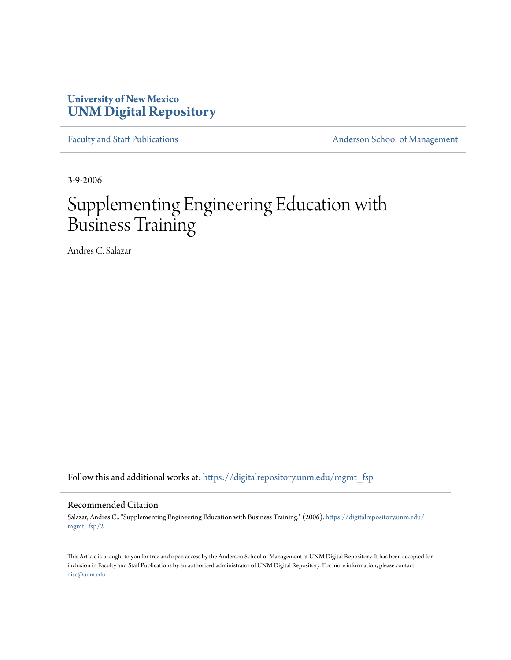## **University of New Mexico [UNM Digital Repository](https://digitalrepository.unm.edu?utm_source=digitalrepository.unm.edu%2Fmgmt_fsp%2F2&utm_medium=PDF&utm_campaign=PDFCoverPages)**

[Faculty and Staff Publications](https://digitalrepository.unm.edu/mgmt_fsp?utm_source=digitalrepository.unm.edu%2Fmgmt_fsp%2F2&utm_medium=PDF&utm_campaign=PDFCoverPages) **[Anderson School of Management](https://digitalrepository.unm.edu/mgmt?utm_source=digitalrepository.unm.edu%2Fmgmt_fsp%2F2&utm_medium=PDF&utm_campaign=PDFCoverPages)** 

3-9-2006

# Supplementing Engineering Education with Business Training

Andres C. Salazar

Follow this and additional works at: [https://digitalrepository.unm.edu/mgmt\\_fsp](https://digitalrepository.unm.edu/mgmt_fsp?utm_source=digitalrepository.unm.edu%2Fmgmt_fsp%2F2&utm_medium=PDF&utm_campaign=PDFCoverPages)

#### Recommended Citation

Salazar, Andres C.. "Supplementing Engineering Education with Business Training." (2006). [https://digitalrepository.unm.edu/](https://digitalrepository.unm.edu/mgmt_fsp/2?utm_source=digitalrepository.unm.edu%2Fmgmt_fsp%2F2&utm_medium=PDF&utm_campaign=PDFCoverPages) [mgmt\\_fsp/2](https://digitalrepository.unm.edu/mgmt_fsp/2?utm_source=digitalrepository.unm.edu%2Fmgmt_fsp%2F2&utm_medium=PDF&utm_campaign=PDFCoverPages)

This Article is brought to you for free and open access by the Anderson School of Management at UNM Digital Repository. It has been accepted for inclusion in Faculty and Staff Publications by an authorized administrator of UNM Digital Repository. For more information, please contact [disc@unm.edu](mailto:disc@unm.edu).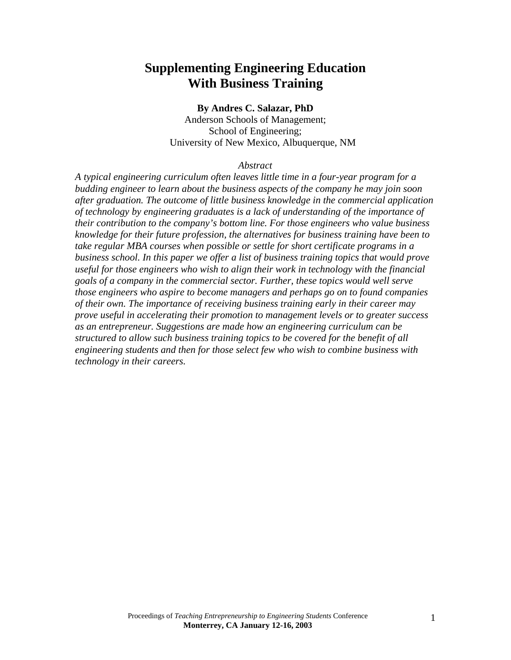# **Supplementing Engineering Education With Business Training**

#### **By Andres C. Salazar, PhD**

Anderson Schools of Management; School of Engineering; University of New Mexico, Albuquerque, NM

#### *Abstract*

*A typical engineering curriculum often leaves little time in a four-year program for a budding engineer to learn about the business aspects of the company he may join soon after graduation. The outcome of little business knowledge in the commercial application of technology by engineering graduates is a lack of understanding of the importance of their contribution to the company's bottom line. For those engineers who value business knowledge for their future profession, the alternatives for business training have been to take regular MBA courses when possible or settle for short certificate programs in a business school. In this paper we offer a list of business training topics that would prove useful for those engineers who wish to align their work in technology with the financial goals of a company in the commercial sector. Further, these topics would well serve those engineers who aspire to become managers and perhaps go on to found companies of their own. The importance of receiving business training early in their career may prove useful in accelerating their promotion to management levels or to greater success as an entrepreneur. Suggestions are made how an engineering curriculum can be structured to allow such business training topics to be covered for the benefit of all engineering students and then for those select few who wish to combine business with technology in their careers.*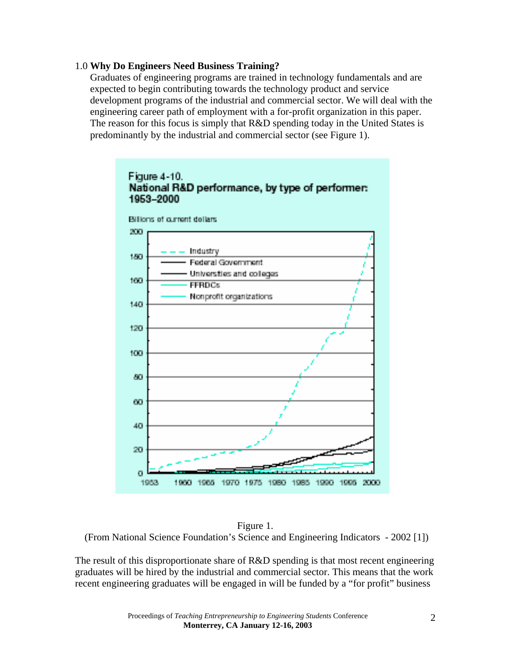## 1.0 **Why Do Engineers Need Business Training?**

Graduates of engineering programs are trained in technology fundamentals and are expected to begin contributing towards the technology product and service development programs of the industrial and commercial sector. We will deal with the engineering career path of employment with a for-profit organization in this paper. The reason for this focus is simply that R&D spending today in the United States is predominantly by the industrial and commercial sector (see Figure 1).



Figure 1. (From National Science Foundation's Science and Engineering Indicators - 2002 [1])

The result of this disproportionate share of R&D spending is that most recent engineering graduates will be hired by the industrial and commercial sector. This means that the work recent engineering graduates will be engaged in will be funded by a "for profit" business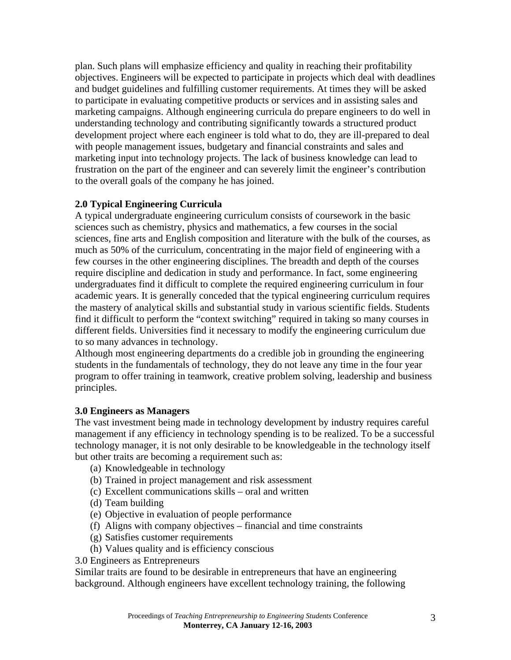plan. Such plans will emphasize efficiency and quality in reaching their profitability objectives. Engineers will be expected to participate in projects which deal with deadlines and budget guidelines and fulfilling customer requirements. At times they will be asked to participate in evaluating competitive products or services and in assisting sales and marketing campaigns. Although engineering curricula do prepare engineers to do well in understanding technology and contributing significantly towards a structured product development project where each engineer is told what to do, they are ill-prepared to deal with people management issues, budgetary and financial constraints and sales and marketing input into technology projects. The lack of business knowledge can lead to frustration on the part of the engineer and can severely limit the engineer's contribution to the overall goals of the company he has joined.

## **2.0 Typical Engineering Curricula**

A typical undergraduate engineering curriculum consists of coursework in the basic sciences such as chemistry, physics and mathematics, a few courses in the social sciences, fine arts and English composition and literature with the bulk of the courses, as much as 50% of the curriculum, concentrating in the major field of engineering with a few courses in the other engineering disciplines. The breadth and depth of the courses require discipline and dedication in study and performance. In fact, some engineering undergraduates find it difficult to complete the required engineering curriculum in four academic years. It is generally conceded that the typical engineering curriculum requires the mastery of analytical skills and substantial study in various scientific fields. Students find it difficult to perform the "context switching" required in taking so many courses in different fields. Universities find it necessary to modify the engineering curriculum due to so many advances in technology.

Although most engineering departments do a credible job in grounding the engineering students in the fundamentals of technology, they do not leave any time in the four year program to offer training in teamwork, creative problem solving, leadership and business principles.

## **3.0 Engineers as Managers**

The vast investment being made in technology development by industry requires careful management if any efficiency in technology spending is to be realized. To be a successful technology manager, it is not only desirable to be knowledgeable in the technology itself but other traits are becoming a requirement such as:

- (a) Knowledgeable in technology
- (b) Trained in project management and risk assessment
- (c) Excellent communications skills oral and written
- (d) Team building
- (e) Objective in evaluation of people performance
- (f) Aligns with company objectives financial and time constraints
- (g) Satisfies customer requirements
- (h) Values quality and is efficiency conscious
- 3.0 Engineers as Entrepreneurs

Similar traits are found to be desirable in entrepreneurs that have an engineering background. Although engineers have excellent technology training, the following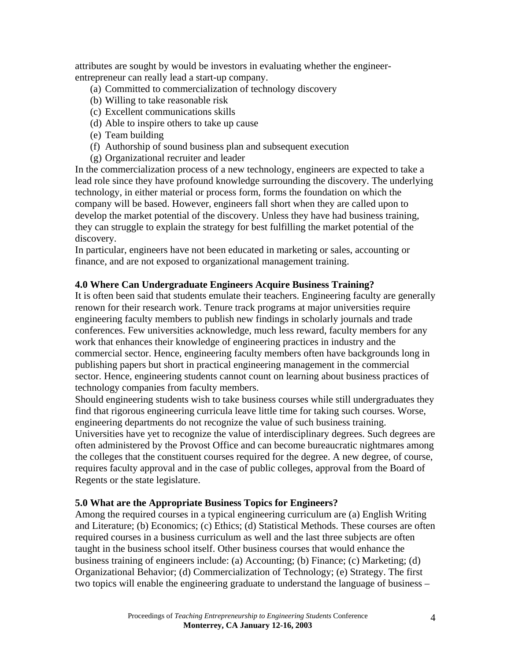attributes are sought by would be investors in evaluating whether the engineerentrepreneur can really lead a start-up company.

- (a) Committed to commercialization of technology discovery
- (b) Willing to take reasonable risk
- (c) Excellent communications skills
- (d) Able to inspire others to take up cause
- (e) Team building
- (f) Authorship of sound business plan and subsequent execution
- (g) Organizational recruiter and leader

In the commercialization process of a new technology, engineers are expected to take a lead role since they have profound knowledge surrounding the discovery. The underlying technology, in either material or process form, forms the foundation on which the company will be based. However, engineers fall short when they are called upon to develop the market potential of the discovery. Unless they have had business training, they can struggle to explain the strategy for best fulfilling the market potential of the discovery.

In particular, engineers have not been educated in marketing or sales, accounting or finance, and are not exposed to organizational management training.

## **4.0 Where Can Undergraduate Engineers Acquire Business Training?**

It is often been said that students emulate their teachers. Engineering faculty are generally renown for their research work. Tenure track programs at major universities require engineering faculty members to publish new findings in scholarly journals and trade conferences. Few universities acknowledge, much less reward, faculty members for any work that enhances their knowledge of engineering practices in industry and the commercial sector. Hence, engineering faculty members often have backgrounds long in publishing papers but short in practical engineering management in the commercial sector. Hence, engineering students cannot count on learning about business practices of technology companies from faculty members.

Should engineering students wish to take business courses while still undergraduates they find that rigorous engineering curricula leave little time for taking such courses. Worse, engineering departments do not recognize the value of such business training.

Universities have yet to recognize the value of interdisciplinary degrees. Such degrees are often administered by the Provost Office and can become bureaucratic nightmares among the colleges that the constituent courses required for the degree. A new degree, of course, requires faculty approval and in the case of public colleges, approval from the Board of Regents or the state legislature.

## **5.0 What are the Appropriate Business Topics for Engineers?**

Among the required courses in a typical engineering curriculum are (a) English Writing and Literature; (b) Economics; (c) Ethics; (d) Statistical Methods. These courses are often required courses in a business curriculum as well and the last three subjects are often taught in the business school itself. Other business courses that would enhance the business training of engineers include: (a) Accounting; (b) Finance; (c) Marketing; (d) Organizational Behavior; (d) Commercialization of Technology; (e) Strategy. The first two topics will enable the engineering graduate to understand the language of business –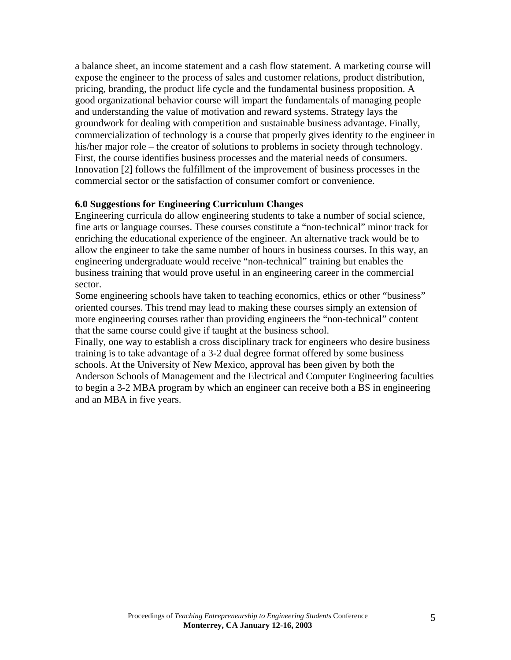a balance sheet, an income statement and a cash flow statement. A marketing course will expose the engineer to the process of sales and customer relations, product distribution, pricing, branding, the product life cycle and the fundamental business proposition. A good organizational behavior course will impart the fundamentals of managing people and understanding the value of motivation and reward systems. Strategy lays the groundwork for dealing with competition and sustainable business advantage. Finally, commercialization of technology is a course that properly gives identity to the engineer in his/her major role – the creator of solutions to problems in society through technology. First, the course identifies business processes and the material needs of consumers. Innovation [2] follows the fulfillment of the improvement of business processes in the commercial sector or the satisfaction of consumer comfort or convenience.

## **6.0 Suggestions for Engineering Curriculum Changes**

Engineering curricula do allow engineering students to take a number of social science, fine arts or language courses. These courses constitute a "non-technical" minor track for enriching the educational experience of the engineer. An alternative track would be to allow the engineer to take the same number of hours in business courses. In this way, an engineering undergraduate would receive "non-technical" training but enables the business training that would prove useful in an engineering career in the commercial sector.

Some engineering schools have taken to teaching economics, ethics or other "business" oriented courses. This trend may lead to making these courses simply an extension of more engineering courses rather than providing engineers the "non-technical" content that the same course could give if taught at the business school.

Finally, one way to establish a cross disciplinary track for engineers who desire business training is to take advantage of a 3-2 dual degree format offered by some business schools. At the University of New Mexico, approval has been given by both the Anderson Schools of Management and the Electrical and Computer Engineering faculties to begin a 3-2 MBA program by which an engineer can receive both a BS in engineering and an MBA in five years.